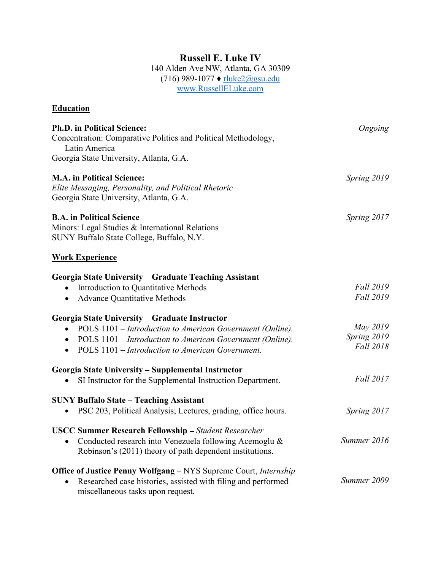## Russell E. Luke IV

140 Alden Ave NW, Atlanta, GA 30309  $(716)$  989-1077  $\blacklozenge$  rluke2@gsu.edu www.RussellELuke.com

| <b>Education</b>                                                                                                                                                                               |                                      |
|------------------------------------------------------------------------------------------------------------------------------------------------------------------------------------------------|--------------------------------------|
| <b>Ph.D. in Political Science:</b><br>Concentration: Comparative Politics and Political Methodology,<br>Latin America                                                                          | Ongoing                              |
| Georgia State University, Atlanta, G.A.                                                                                                                                                        |                                      |
| <b>M.A.</b> in Political Science:<br>Elite Messaging, Personality, and Political Rhetoric<br>Georgia State University, Atlanta, G.A.                                                           | Spring 2019                          |
| <b>B.A.</b> in Political Science<br>Minors: Legal Studies & International Relations<br>SUNY Buffalo State College, Buffalo, N.Y.                                                               | Spring 2017                          |
| <b>Work Experience</b>                                                                                                                                                                         |                                      |
| Georgia State University – Graduate Teaching Assistant                                                                                                                                         | <b>Fall 2019</b>                     |
| Introduction to Quantitative Methods<br><b>Advance Quantitative Methods</b><br>٠                                                                                                               | <b>Fall 2019</b>                     |
| Georgia State University – Graduate Instructor                                                                                                                                                 |                                      |
| POLS 1101 – Introduction to American Government (Online).<br>٠<br>POLS 1101 – Introduction to American Government (Online).<br>POLS 1101 – Introduction to American Government.<br>$\bullet$   | May 2019<br>Spring 2019<br>Fall 2018 |
| Georgia State University – Supplemental Instructor                                                                                                                                             |                                      |
| SI Instructor for the Supplemental Instruction Department.<br>٠                                                                                                                                | Fall 2017                            |
| <b>SUNY Buffalo State - Teaching Assistant</b><br>PSC 203, Political Analysis; Lectures, grading, office hours.                                                                                | Spring 2017                          |
|                                                                                                                                                                                                |                                      |
| <b>USCC Summer Research Fellowship</b> - Student Researcher<br>Conducted research into Venezuela following Acemoglu &<br>$\bullet$<br>Robinson's (2011) theory of path dependent institutions. | Summer 2016                          |
| <b>Office of Justice Penny Wolfgang</b> – NYS Supreme Court, <i>Internship</i>                                                                                                                 |                                      |
| Researched case histories, assisted with filing and performed<br>$\bullet$<br>miscellaneous tasks upon request.                                                                                | Summer 2009                          |